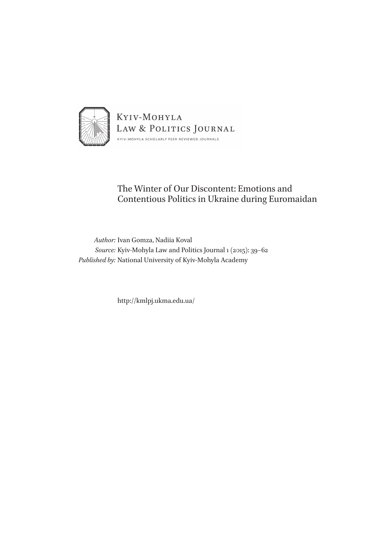

## The Winter of Our Discontent: Emotions and Contentious Politics in Ukraine during Euromaidan

*Author:* Ivan Gomza, Nadiia Koval *Source:* Kyiv-Mohyla Law and Politics Journal 1 (2015): 39–62 *Published by:* National University of Kyiv-Mohyla Academy

http://kmlpj.ukma.edu.ua/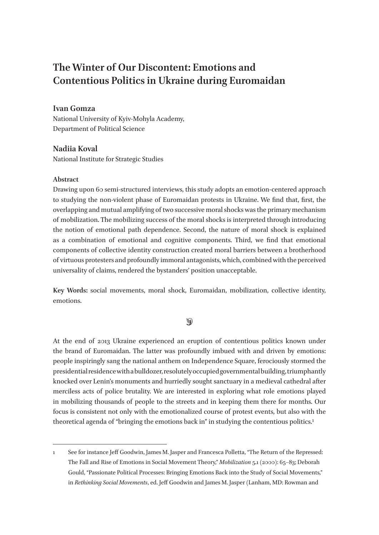# **The Winter of Our Discontent: Emotions and Contentious Politics in Ukraine during Euromaidan**

## **Ivan Gomza**

National University of Kyiv-Mohyla Academy, Department of Political Science

## **Nadiia Koval**

National Institute for Strategic Studies

## **Abstract**

Drawing upon 60 semi-structured interviews, this study adopts an emotion-centered approach to studying the non-violent phase of Euromaidan protests in Ukraine. We find that, first, the overlapping and mutual amplifying of two successive moral shocks was the primary mechanism of mobilization. The mobilizing success of the moral shocks is interpreted through introducing the notion of emotional path dependence. Second, the nature of moral shock is explained as a combination of emotional and cognitive components. Third, we find that emotional components of collective identity construction created moral barriers between a brotherhood of virtuous protesters and profoundly immoral antagonists, which, combined with the perceived universality of claims, rendered the bystanders' position unacceptable.

**Key Words:** social movements, moral shock, Euromaidan, mobilization, collective identity, emotions.

## $\circledast$

At the end of 2013 Ukraine experienced an eruption of contentious politics known under the brand of Euromaidan. The latter was profoundly imbued with and driven by emotions: people inspiringly sang the national anthem on Independence Square, ferociously stormed the presidential residence with a bulldozer, resolutely occupied governmental building, triumphantly knocked over Lenin's monuments and hurriedly sought sanctuary in a medieval cathedral after merciless acts of police brutality. We are interested in exploring what role emotions played in mobilizing thousands of people to the streets and in keeping them there for months. Our focus is consistent not only with the emotionalized course of protest events, but also with the theoretical agenda of "bringing the emotions back in" in studying the contentious politics.1

<sup>1</sup> See for instance Jeff Goodwin, James M. Jasper and Francesca Polletta, "The Return of the Repressed: The Fall and Rise of Emotions in Social Movement Theory," *Mobilization* 5.1 (2000): 65–83; Deborah Gould, "Passionate Political Processes: Bringing Emotions Back into the Study of Social Movements," in *Rethinking Social Movements*, ed. Jeff Goodwin and James M. Jasper (Lanham, MD: Rowman and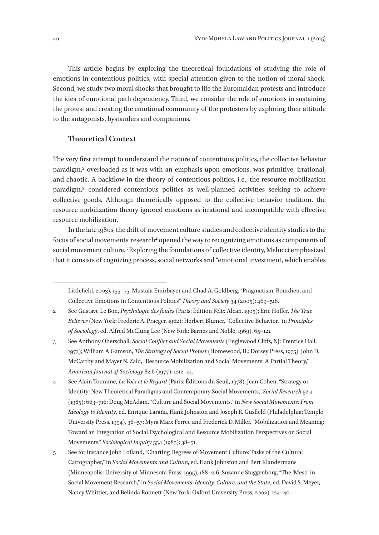This article begins by exploring the theoretical foundations of studying the role of emotions in contentious politics, with special attention given to the notion of moral shock. Second, we study two moral shocks that brought to life the Euromaidan protests and introduce the idea of emotional path dependency. Third, we consider the role of emotions in sustaining the protest and creating the emotional community of the protesters by exploring their attitude to the antagonists, bystanders and companions.

#### **Theoretical Context**

The very first attempt to understand the nature of contentious politics, the collective behavior paradigm,2 overloaded as it was with an emphasis upon emotions, was primitive, irrational, and chaotic. A backflow in the theory of contentious politics, i.e., the resource mobilization paradigm,3 considered contentious politics as well-planned activities seeking to achieve collective goods. Although theoretically opposed to the collective behavior tradition, the resource mobilization theory ignored emotions as irrational and incompatible with effective resource mobilization.

In the late 1980s, the drift of movement culture studies and collective identity studies to the focus of social movements' research<sup>4</sup> opened the way to recognizing emotions as components of social movement culture.<sup>5</sup> Exploring the foundations of collective identity, Melucci emphasized that it consists of cognizing process, social networks and "emotional investment, which enables

Littlefield, 2003), 155–75; Mustafa Emirbayer and Chad A. Goldberg, "Pragmatism, Bourdieu, and Collective Emotions in Contentious Politics" *Theory and Society* 34 (2005): 469–518.

<sup>2</sup> See Gustave Le Bon, *Psychologie des foules* (Paris: Édition Félix Alcan, 1905); Eric Hoffer, *The True Believer* (New York: Frederic A. Praeger, 1962); Herbert Blumer, "Collective Behavior," in *Principles of Sociology*, ed. Alfred McClung Lee (New York: Barnes and Noble, 1969), 65–121.

<sup>3</sup> See Anthony Oberschall, *Social Conflict and Social Movements* (Englewood Cliffs, NJ: Prentice Hall, 1973); William A Gamson, *The Strategy of Social Protest* (Homewood, IL: Dorsey Press, 1975); John D. McCarthy and Mayer N. Zald, "Resource Mobilization and Social Movements: A Partial Theory," *American Journal of Sociology* 82.6 (1977): 1212–41.

<sup>4</sup> See Alain Touraine, *La Voix et le Regard* (Paris: Éditions du Seuil, 1978); Jean Cohen, "Strategy or Identity: New Theoretical Paradigms and Contemporary Social Movements," *Social Research* 52.4 (1985): 663–716; Doug McAdam, "Culture and Social Movements," in *New Social Movements: From Ideology to Identity*, ed. Enrique Laraña, Hank Johnston and Joseph R. Gusfield (Philadelphia: Temple University Press, 1994), 36–57; Myra Marx Ferree and Frederick D. Miller, "Mobilization and Meaning: Toward an Integration of Social Psychological and Resource Mobilization Perspectives on Social Movements," *Sociological Inquiry* 55.1 (1985): 38–51.

<sup>5</sup> See for instance John Lofland, "Charting Degrees of Movement Culture: Tasks of the Cultural Cartographer," in *Social Movements and Culture*, ed. Hank Johnston and Bert Klandermans (Minneapolis: University of Minnesota Press, 1995), 188–216; Suzanne Staggenborg, "The 'Meso' in Social Movement Research," in *Social Movements: Identity, Culture, and the State*, ed. David S. Meyer, Nancy Whittier, and Belinda Robnett (New York: Oxford University Press, 2002), 124–40.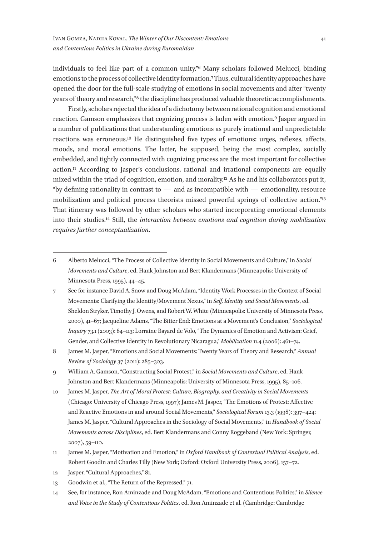individuals to feel like part of a common unity."6 Many scholars followed Melucci, binding emotions to the process of collective identity formation.7 Thus, cultural identity approaches have opened the door for the full-scale studying of emotions in social movements and after "twenty years of theory and research,"8 the discipline has produced valuable theoretic accomplishments.

Firstly, scholars rejected the idea of a dichotomy between rational cognition and emotional reaction. Gamson emphasizes that cognizing process is laden with emotion.<sup>9</sup> Jasper argued in a number of publications that understanding emotions as purely irrational and unpredictable reactions was erroneous.10 He distinguished five types of emotions: urges, reflexes, affects, moods, and moral emotions. The latter, he supposed, being the most complex, socially embedded, and tightly connected with cognizing process are the most important for collective action.11 According to Jasper's conclusions, rational and irrational components are equally mixed within the triad of cognition, emotion, and morality.12 As he and his collaborators put it, "by defining rationality in contrast to — and as incompatible with — emotionality, resource mobilization and political process theorists missed powerful springs of collective action."13 That itinerary was followed by other scholars who started incorporating emotional elements into their studies.14 Still, the *interaction between emotions and cognition during mobilization requires further conceptualization*.

<sup>6</sup> Alberto Melucci, "The Process of Collective Identity in Social Movements and Culture," in *Social Movements and Culture*, ed. Hank Johnston and Bert Klandermans (Minneapolis: University of Minnesota Press, 1995), 44–45.

<sup>7</sup> See for instance David A. Snow and Doug McAdam, "Identity Work Processes in the Context of Social Movements: Clarifying the Identity/Movement Nexus," in *Self, Identity and Social Movements*, ed. Sheldon Stryker, Timothy J. Owens, and Robert W. White (Minneapolis: University of Minnesota Press, 2000), 41–67; Jacqueline Adams, "The Bitter End: Emotions at a Movement's Conclusion," *Sociological Inquiry* 73.1 (2003): 84–113; Lorraine Bayard de Volo, "The Dynamics of Emotion and Activism: Grief, Gender, and Collective Identity in Revolutionary Nicaragua," *Mobilization* 11.4 (2006): 461–74.

<sup>8</sup> James M. Jasper, "Emotions and Social Movements: Twenty Years of Theory and Research," *Annual Review of Sociology* 37 (2011): 285–303.

<sup>9</sup> William A. Gamson, "Constructing Social Protest," in *Social Movements and Culture*, ed. Hank Johnston and Bert Klandermans (Minneapolis: University of Minnesota Press, 1995), 85–106.

<sup>10</sup> James M. Jasper, *The Art of Moral Protest: Culture, Biography, and Creativity in Social Movements* (Chicago: University of Chicago Press, 1997); James M. Jasper, "The Emotions of Protest: Affective and Reactive Emotions in and around Social Movements," *Sociological Forum* 13.3 (1998): 397–424; James M. Jasper, "Cultural Approaches in the Sociology of Social Movements," in *Handbook of Social Movements across Disciplines*, ed. Bert Klandermans and Conny Roggeband (New York: Springer, 2007), 59–110.

<sup>11</sup> James M. Jasper, "Motivation and Emotion," in *Oxford Handbook of Contextual Political Analysis*, ed. Robert Goodin and Charles Tilly (New York; Oxford: Oxford University Press, 2006), 157–72.

<sup>12</sup> Jasper, "Cultural Approaches," 81.

<sup>13</sup> Goodwin et al., "The Return of the Repressed," 71.

<sup>14</sup> See, for instance, Ron Aminzade and Doug McAdam, "Emotions and Contentious Politics," in *Silence and Voice in the Study of Contentious Politics*, ed. Ron Aminzade et al. (Cambridge: Cambridge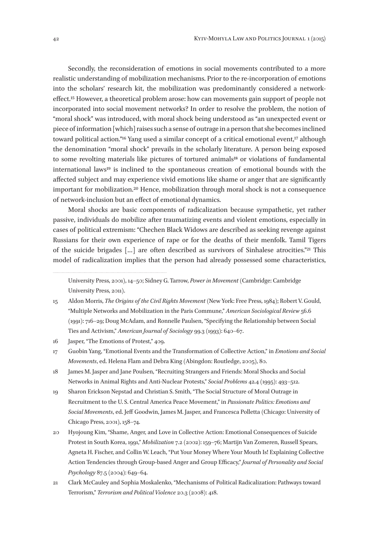Secondly, the reconsideration of emotions in social movements contributed to a more realistic understanding of mobilization mechanisms. Prior to the re-incorporation of emotions into the scholars' research kit, the mobilization was predominantly considered a networkeffect.15 However, a theoretical problem arose: how can movements gain support of people not incorporated into social movement networks? In order to resolve the problem, the notion of "moral shock" was introduced, with moral shock being understood as "an unexpected event or piece of information [which] raises such a sense of outrage in a person that she becomes inclined toward political action."<sup>16</sup> Yang used a similar concept of a critical emotional event,<sup>17</sup> although the denomination "moral shock" prevails in the scholarly literature. A person being exposed to some revolting materials like pictures of tortured animals<sup>18</sup> or violations of fundamental international laws19 is inclined to the spontaneous creation of emotional bounds with the affected subject and may experience vivid emotions like shame or anger that are significantly important for mobilization.20 Hence, mobilization through moral shock is not a consequence of network-inclusion but an effect of emotional dynamics.

Moral shocks are basic components of radicalization because sympathetic, yet rather passive, individuals do mobilize after traumatizing events and violent emotions, especially in cases of political extremism: "Chechen Black Widows are described as seeking revenge against Russians for their own experience of rape or for the deaths of their menfolk. Tamil Tigers of the suicide brigades […] are often described as survivors of Sinhalese atrocities."21 This model of radicalization implies that the person had already possessed some characteristics,

- 16 Jasper, "The Emotions of Protest," 409.
- 17 Guobin Yang, "Emotional Events and the Transformation of Collective Action," in *Emotions and Social Movements*, ed. Helena Flam and Debra King (Abingdon: Routledge, 2005), 80.
- 18 James M. Jasper and Jane Poulsen, "Recruiting Strangers and Friends: Moral Shocks and Social Networks in Animal Rights and Anti-Nuclear Protests," *Social Problems* 42.4 (1995): 493–512.
- 19 Sharon Erickson Nepstad and Christian S. Smith, "The Social Structure of Moral Outrage in Recruitment to the U. S. Central America Peace Movement," in *Passionate Politics: Emotions and Social Movements*, ed. Jeff Goodwin, James M. Jasper, and Francesca Polletta (Chicago: University of Chicago Press, 2001), 158–74.
- 20 Hyojoung Kim, "Shame, Anger, and Love in Collective Action: Emotional Consequences of Suicide Protest in South Korea, 1991," *Mobilization* 7.2 (2002): 159–76; Martijn Van Zomeren, Russell Spears, Agneta H. Fischer, and Collin W. Leach, "Put Your Money Where Your Mouth Is! Explaining Collective Action Tendencies through Group-based Anger and Group Efficacy," *Journal of Personality and Social Psychology* 87.5 (2004): 649–64.
- 21 Clark McCauley and Sophia Moskalenko, "Mechanisms of Political Radicalization: Pathways toward Terrorism," *Terrorism and Political Violence* 20.3 (2008): 418.

University Press, 2001), 14–50; Sidney G. Tarrow, *Power in Movement* (Cambridge: Cambridge University Press, 2011).

<sup>15</sup> Aldon Morris, *The Origins of the Civil Rights Movement* (New York: Free Press, 1984); Robert V. Gould, "Multiple Networks and Mobilization in the Paris Commune," *American Sociological Review* 56.6 (1991): 716–29; Doug McAdam, and Ronnelle Paulsen, "Specifying the Relationship between Social Ties and Activism," *American Journal of Sociology* 99.3 (1993): 640–67.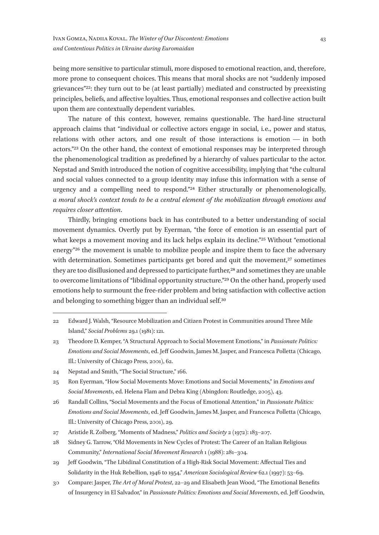being more sensitive to particular stimuli, more disposed to emotional reaction, and, therefore, more prone to consequent choices. This means that moral shocks are not "suddenly imposed grievances"22: they turn out to be (at least partially) mediated and constructed by preexisting principles, beliefs, and affective loyalties. Thus, emotional responses and collective action built upon them are contextually dependent variables.

The nature of this context, however, remains questionable. The hard-line structural approach claims that "individual or collective actors engage in social, i.e., power and status, relations with other actors, and one result of those interactions is emotion — in both actors."23 On the other hand, the context of emotional responses may be interpreted through the phenomenological tradition as predefined by a hierarchy of values particular to the actor. Nepstad and Smith introduced the notion of cognitive accessibility, implying that "the cultural and social values connected to a group identity may infuse this information with a sense of urgency and a compelling need to respond."24 Either structurally or phenomenologically, *a moral shock's context tends to be a central element of the mobilization through emotions and requires closer attention*.

Thirdly, bringing emotions back in has contributed to a better understanding of social movement dynamics. Overtly put by Eyerman, "the force of emotion is an essential part of what keeps a movement moving and its lack helps explain its decline."<sup>25</sup> Without "emotional" energy"26 the movement is unable to mobilize people and inspire them to face the adversary with determination. Sometimes participants get bored and quit the movement,<sup>27</sup> sometimes they are too disillusioned and depressed to participate further,<sup>28</sup> and sometimes they are unable to overcome limitations of "libidinal opportunity structure."29 On the other hand, properly used emotions help to surmount the free-rider problem and bring satisfaction with collective action and belonging to something bigger than an individual self.30

<sup>22</sup> Edward J. Walsh, "Resource Mobilization and Citizen Protest in Communities around Three Mile Island," *Social Problems* 29.1 (1981): 121.

<sup>23</sup> Theodore D. Kemper, "A Structural Approach to Social Movement Emotions," in *Passionate Politics: Emotions and Social Movements*, ed. Jeff Goodwin, James M. Jasper, and Francesca Polletta (Chicago, Ill.: University of Chicago Press, 2001), 62.

<sup>24</sup> Nepstad and Smith, "The Social Structure," 166.

<sup>25</sup> Ron Eyerman, "How Social Movements Move: Emotions and Social Movements," in *Emotions and Social Movements*, ed. Helena Flam and Debra King (Abingdon: Routledge, 2005), 43.

<sup>26</sup> Randall Collins, "Social Movements and the Focus of Emotional Attention," in *Passionate Politics: Emotions and Social Movements*, ed. Jeff Goodwin, James M. Jasper, and Francesca Polletta (Chicago, Ill.: University of Chicago Press, 2001), 29.

<sup>27</sup> Aristide R. Zolberg, "Moments of Madness," *Politics and Society* 2 (1972): 183–207.

<sup>28</sup> Sidney G. Tarrow, "Old Movements in New Cycles of Protest: The Career of an Italian Religious Community," *International Social Movement Research* 1 (1988): 281–304.

<sup>29</sup> Jeff Goodwin, "The Libidinal Constitution of a High-Risk Social Movement: Affectual Ties and Solidarity in the Huk Rebellion, 1946 to 1954," *American Sociological Review* 62.1 (1997): 53–69.

<sup>30</sup> Compare: Jasper, *The Art of Moral Protest*, 22–29 and Elisabeth Jean Wood, "The Emotional Benefits of Insurgency in El Salvador," in *Passionate Politics: Emotions and Social Movements*, ed. Jeff Goodwin,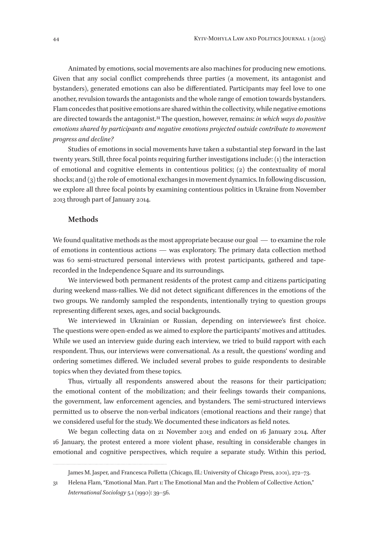Animated by emotions, social movements are also machines for producing new emotions. Given that any social conflict comprehends three parties (a movement, its antagonist and bystanders), generated emotions can also be differentiated. Participants may feel love to one another, revulsion towards the antagonists and the whole range of emotion towards bystanders. Flam concedes that positive emotions are shared within the collectivity, while negative emotions are directed towards the antagonist.31 The question, however, remains: *in which ways do positive emotions shared by participants and negative emotions projected outside contribute to movement progress and decline?*

Studies of emotions in social movements have taken a substantial step forward in the last twenty years. Still, three focal points requiring further investigations include: (1) the interaction of emotional and cognitive elements in contentious politics; (2) the contextuality of moral shocks; and (3) the role of emotional exchanges in movement dynamics. In following discussion, we explore all three focal points by examining contentious politics in Ukraine from November 2013 through part of January 2014.

#### **Methods**

We found qualitative methods as the most appropriate because our goal  $\sim$  to examine the role of emotions in contentious actions — was exploratory. The primary data collection method was 60 semi-structured personal interviews with protest participants, gathered and taperecorded in the Independence Square and its surroundings.

We interviewed both permanent residents of the protest camp and citizens participating during weekend mass-rallies. We did not detect significant differences in the emotions of the two groups. We randomly sampled the respondents, intentionally trying to question groups representing different sexes, ages, and social backgrounds.

We interviewed in Ukrainian or Russian, depending on interviewee's first choice. The questions were open-ended as we aimed to explore the participants' motives and attitudes. While we used an interview guide during each interview, we tried to build rapport with each respondent. Thus, our interviews were conversational. As a result, the questions' wording and ordering sometimes differed. We included several probes to guide respondents to desirable topics when they deviated from these topics.

Thus, virtually all respondents answered about the reasons for their participation; the emotional content of the mobilization; and their feelings towards their companions, the government, law enforcement agencies, and bystanders. The semi-structured interviews permitted us to observe the non-verbal indicators (emotional reactions and their range) that we considered useful for the study. We documented these indicators as field notes.

We began collecting data on 21 November 2013 and ended on 16 January 2014. After 16 January, the protest entered a more violent phase, resulting in considerable changes in emotional and cognitive perspectives, which require a separate study. Within this period,

James M. Jasper, and Francesca Polletta (Chicago, Ill.: University of Chicago Press, 2001), 272–73.

<sup>31</sup> Helena Flam, "Emotional Man. Part 1: The Emotional Man and the Problem of Collective Action," *International Sociology* 5.1 (1990): 39–56.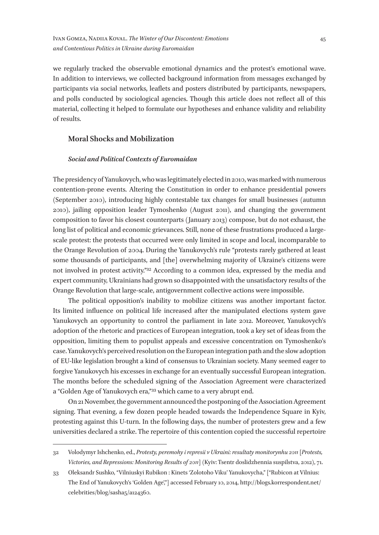we regularly tracked the observable emotional dynamics and the protest's emotional wave. In addition to interviews, we collected background information from messages exchanged by participants via social networks, leaflets and posters distributed by participants, newspapers, and polls conducted by sociological agencies. Though this article does not reflect all of this material, collecting it helped to formulate our hypotheses and enhance validity and reliability of results.

### **Moral Shocks and Mobilization**

#### *Social and Political Contexts of Euromaidan*

The presidency of Yanukovych, who was legitimately elected in 2010, was marked with numerous contention-prone events. Altering the Constitution in order to enhance presidential powers (September 2010), introducing highly contestable tax changes for small businesses (autumn 2010), jailing opposition leader Tymoshenko (August 2011), and changing the government composition to favor his closest counterparts (January 2013) compose, but do not exhaust, the long list of political and economic grievances. Still, none of these frustrations produced a largescale protest: the protests that occurred were only limited in scope and local, incomparable to the Orange Revolution of 2004. During the Yanukovych's rule "protests rarely gathered at least some thousands of participants, and [the] overwhelming majority of Ukraine's citizens were not involved in protest activity."32 According to a common idea, expressed by the media and expert community, Ukrainians had grown so disappointed with the unsatisfactory results of the Orange Revolution that large-scale, antigovernment collective actions were impossible.

The political opposition's inability to mobilize citizens was another important factor. Its limited influence on political life increased after the manipulated elections system gave Yanukovych an opportunity to control the parliament in late 2012. Moreover, Yanukovych's adoption of the rhetoric and practices of European integration, took a key set of ideas from the opposition, limiting them to populist appeals and excessive concentration on Tymoshenko's case. Yanukovych's perceived resolution on the European integration path and the slow adoption of EU-like legislation brought a kind of consensus to Ukrainian society. Many seemed eager to forgive Yanukovych his excesses in exchange for an eventually successful European integration. The months before the scheduled signing of the Association Agreement were characterized a "Golden Age of Yanukovych era,"33 which came to a very abrupt end.

On 21 November, the government announced the postponing of the Association Agreement signing. That evening, a few dozen people headed towards the Independence Square in Kyiv, protesting against this U-turn. In the following days, the number of protesters grew and a few universities declared a strike. The repertoire of this contention copied the successful repertoire

<sup>32</sup> Volodymyr Ishchenko, ed., *Protesty, peremohy i represii v Ukraini: resultaty monitorynhu 2011* [*Protests, Victories, and Repressions: Monitoring Results of 2011*] (Kyiv: Tsentr doslidzhennia suspilstva, 2012), 71.

<sup>33</sup> Oleksandr Sushko, "Vilniuskyi Rubikon : Kinets 'Zolotoho Viku' Yanukovycha," *[*"Rubicon at Vilnius: The End of Yanukovych's 'Golden Age',"] accessed February 10, 2014, http://blogs.korrespondent.net/ celebrities/blog/sasha5/a124360.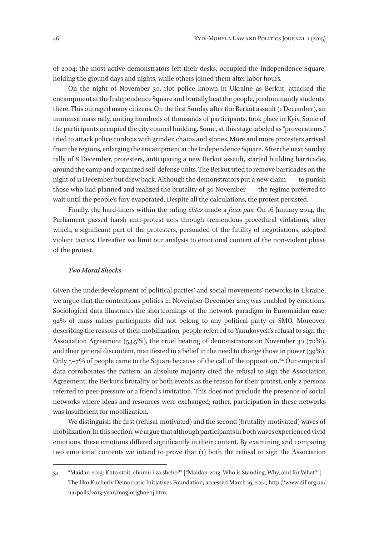of 2004: the most active demonstrators left their desks, occupied the Independence Square, holding the ground days and nights, while others joined them after labor hours.

On the night of November 30, riot police known in Ukraine as Berkut, attacked the encampment at the Independence Square and brutally beat the people, predominantly students, there. This outraged many citizens. On the first Sunday after the Berkut assault (1 December), an immense mass rally, uniting hundreds of thousands of participants, took place in Kyiv. Some of the participants occupied the city council building. Some, at this stage labeled as "provocateurs," tried to attack police cordons with grinder, chains and stones. More and more protesters arrived from the regions, enlarging the encampment at the Independence Square. After the next Sunday rally of 8 December, protesters, anticipating a new Berkut assault, started building barricades around the camp and organized self-defense units. The Berkut tried to remove barricades on the night of 11 December but drew back. Although the demonstrators put a new claim  $-$  to punish those who had planned and realized the brutality of 30 November  $-$  the regime preferred to wait until the people's fury evaporated. Despite all the calculations, the protest persisted.

Finally, the hard-liners within the ruling *élites* made a *faux pas*. On 16 January 2014, the Parliament passed harsh anti-protest acts through tremendous procedural violations, after which, a significant part of the protesters, persuaded of the futility of negotiations, adopted violent tactics. Hereafter, we limit our analysis to emotional content of the non-violent phase of the protest.

#### *Two Moral Shocks*

Given the underdevelopment of political parties' and social movements' networks in Ukraine, we argue that the contentious politics in November-December 2013 was enabled by emotions. Sociological data illustrates the shortcomings of the network paradigm in Euromaidan case: 92% of mass rallies participants did not belong to any political party or SMO. Moreover, describing the reasons of their mobilization, people referred to Yanukovych's refusal to sign the Association Agreement (53.5%), the cruel beating of demonstrators on November 30 (70%), and their general discontent, manifested in a belief in the need to change those in power (39%). Only  $5-7\%$  of people came to the Square because of the call of the opposition.<sup>34</sup> Our empirical data corroborates the pattern: an absolute majority cited the refusal to sign the Association Agreement, the Berkut's brutality or both events as the reason for their protest, only 2 persons referred to peer-pressure or a friend's invitation. This does not preclude the presence of social networks where ideas and resources were exchanged; rather, participation in these networks was insufficient for mobilization.

We distinguish the first (refusal-motivated) and the second (brutality-motivated) waves of mobilization. In this section, we argue that although participants in both waves experienced vivid emotions, these emotions differed significantly in their content. By examining and comparing two emotional contents we intend to prove that (1) both the refusal to sign the Association

<sup>34</sup> "Maidan‑2013: Khto stoit, chomu i za shcho?" ["Maidan‑2013: Who is Standing, Why, and for What?"] The Ilko Kucheriv Democratic Initiatives Foundation, accessed March 19, 2014, http://www.dif.org.ua/ ua/polls/2013-year/mogjorjghoeoj.htm.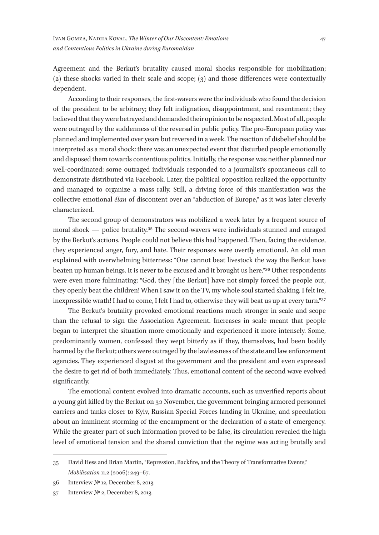Agreement and the Berkut's brutality caused moral shocks responsible for mobilization; (2) these shocks varied in their scale and scope; (3) and those differences were contextually dependent.

According to their responses, the first-wavers were the individuals who found the decision of the president to be arbitrary; they felt indignation, disappointment, and resentment; they believed that they were betrayed and demanded their opinion to be respected. Most of all, people were outraged by the suddenness of the reversal in public policy. The pro-European policy was planned and implemented over years but reversed in a week. The reaction of disbelief should be interpreted as a moral shock: there was an unexpected event that disturbed people emotionally and disposed them towards contentious politics. Initially, the response was neither planned nor well-coordinated: some outraged individuals responded to a journalist's spontaneous call to demonstrate distributed via Facebook. Later, the political opposition realized the opportunity and managed to organize a mass rally. Still, a driving force of this manifestation was the collective emotional *élan* of discontent over an "abduction of Europe," as it was later cleverly characterized.

The second group of demonstrators was mobilized a week later by a frequent source of moral shock — police brutality.<sup>35</sup> The second-wavers were individuals stunned and enraged by the Berkut's actions. People could not believe this had happened. Then, facing the evidence, they experienced anger, fury, and hate. Their responses were overtly emotional. An old man explained with overwhelming bitterness: "One cannot beat livestock the way the Berkut have beaten up human beings. It is never to be excused and it brought us here."36 Other respondents were even more fulminating: "God, they [the Berkut] have not simply forced the people out, they openly beat the children! When I saw it on the TV, my whole soul started shaking. I felt ire, inexpressible wrath! I had to come, I felt I had to, otherwise they will beat us up at every turn."37

The Berkut's brutality provoked emotional reactions much stronger in scale and scope than the refusal to sign the Association Agreement. Increases in scale meant that people began to interpret the situation more emotionally and experienced it more intensely. Some, predominantly women, confessed they wept bitterly as if they, themselves, had been bodily harmed by the Berkut; others were outraged by the lawlessness of the state and law enforcement agencies. They experienced disgust at the government and the president and even expressed the desire to get rid of both immediately. Thus, emotional content of the second wave evolved significantly.

The emotional content evolved into dramatic accounts, such as unverified reports about a young girl killed by the Berkut on 30 November, the government bringing armored personnel carriers and tanks closer to Kyiv, Russian Special Forces landing in Ukraine, and speculation about an imminent storming of the encampment or the declaration of a state of emergency. While the greater part of such information proved to be false, its circulation revealed the high level of emotional tension and the shared conviction that the regime was acting brutally and

<sup>35</sup> David Hess and Brian Martin, "Repression, Backfire, and the Theory of Transformative Events," *Mobilization* 11.2 (2006): 249–67.

<sup>36</sup> Interview № 12, December 8, 2013.

<sup>37</sup> Interview № 2, December 8, 2013.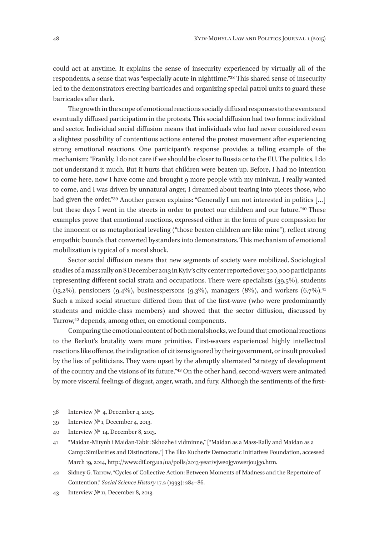could act at anytime. It explains the sense of insecurity experienced by virtually all of the respondents, a sense that was "especially acute in nighttime."38 This shared sense of insecurity led to the demonstrators erecting barricades and organizing special patrol units to guard these barricades after dark.

The growth in the scope of emotional reactions socially diffused responses to the events and eventually diffused participation in the protests. This social diffusion had two forms: individual and sector. Individual social diffusion means that individuals who had never considered even a slightest possibility of contentious actions entered the protest movement after experiencing strong emotional reactions. One participant's response provides a telling example of the mechanism: "Frankly, I do not care if we should be closer to Russia or to the EU. The politics, I do not understand it much. But it hurts that children were beaten up. Before, I had no intention to come here, now I have come and brought 9 more people with my minivan. I really wanted to come, and I was driven by unnatural anger, I dreamed about tearing into pieces those, who had given the order."<sup>39</sup> Another person explains: "Generally I am not interested in politics [...] but these days I went in the streets in order to protect our children and our future."40 These examples prove that emotional reactions, expressed either in the form of pure compassion for the innocent or as metaphorical leveling ("those beaten children are like mine"), reflect strong empathic bounds that converted bystanders into demonstrators. This mechanism of emotional mobilization is typical of a moral shock.

Sector social diffusion means that new segments of society were mobilized. Sociological studies of a mass rally on 8 December 2013 in Kyiv's city center reported over 500,000 participants representing different social strata and occupations. There were specialists (39.5%), students  $(13.2\%)$ , pensioners  $(9.4\%)$ , businesspersons  $(9.3\%)$ , managers  $(8\%)$ , and workers  $(6.7\%)$ <sup>11</sup> Such a mixed social structure differed from that of the first-wave (who were predominantly students and middle-class members) and showed that the sector diffusion, discussed by Tarrow,42 depends, among other, on emotional components.

Comparing the emotional content of both moral shocks, we found that emotional reactions to the Berkut's brutality were more primitive. First-wavers experienced highly intellectual reactions like offence, the indignation of citizens ignored by their government, or insult provoked by the lies of politicians. They were upset by the abruptly alternated "strategy of development of the country and the visions of its future."43 On the other hand, second-wavers were animated by more visceral feelings of disgust, anger, wrath, and fury. Although the sentiments of the first-

<sup>38</sup> Interview №  4, December 4, 2013.

<sup>39</sup> Interview № 1, December 4, 2013.

<sup>40</sup> Interview №  14, December 8, 2013.

<sup>41</sup> "Maidan-Mitynh i Maidan-Tabir: Skhozhe i vidminne," ["Maidan as a Mass-Rally and Maidan as a Camp: Similarities and Distinctions,"] The Ilko Kucheriv Democratic Initiatives Foundation, accessed March 19, 2014, http://www.dif.org.ua/ua/polls/2013-year/vjweojgvowerjoujgo.htm.

<sup>42</sup> Sidney G. Tarrow, "Cycles of Collective Action: Between Moments of Madness and the Repertoire of Contention," *Social Science History* 17.2 (1993): 284–86.

<sup>43</sup> Interview № 11, December 8, 2013.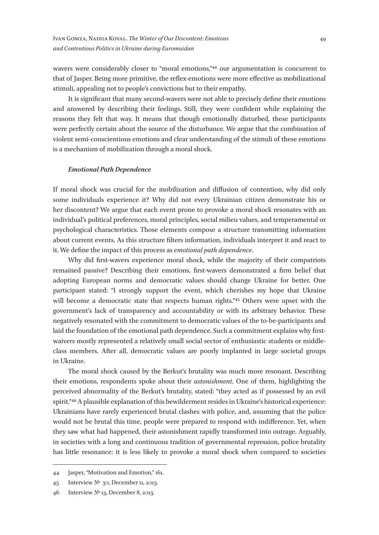wavers were considerably closer to "moral emotions,"<sup>44</sup> our argumentation is concurrent to that of Jasper. Being more primitive, the reflex-emotions were more effective as mobilizational stimuli, appealing not to people's convictions but to their empathy.

It is significant that many second-wavers were not able to precisely define their emotions and answered by describing their feelings. Still, they were confident while explaining the reasons they felt that way. It means that though emotionally disturbed, these participants were perfectly certain about the source of the disturbance. We argue that the combination of violent semi-conscientious emotions and clear understanding of the stimuli of these emotions is a mechanism of mobilization through a moral shock.

#### *Emotional Path Dependence*

If moral shock was crucial for the mobilization and diffusion of contention, why did only some individuals experience it? Why did not every Ukrainian citizen demonstrate his or her discontent? We argue that each event prone to provoke a moral shock resonates with an individual's political preferences, moral principles, social milieu values, and temperamental or psychological characteristics. Those elements compose a structure transmitting information about current events. As this structure filters information, individuals interpret it and react to it. We define the impact of this process as *emotional path dependence*.

Why did first-wavers experience moral shock, while the majority of their compatriots remained passive? Describing their emotions, first-wavers demonstrated a firm belief that adopting European norms and democratic values should change Ukraine for better. One participant stated: "I strongly support the event, which cherishes my hope that Ukraine will become a democratic state that respects human rights."<sup>45</sup> Others were upset with the government's lack of transparency and accountability or with its arbitrary behavior. These negatively resonated with the commitment to democratic values of the to-be-participants and laid the foundation of the emotional path dependence. Such a commitment explains why firstwaivers mostly represented a relatively small social sector of enthusiastic students or middleclass members. After all, democratic values are poorly implanted in large societal groups in Ukraine.

The moral shock caused by the Berkut's brutality was much more resonant. Describing their emotions, respondents spoke about their *astonishment*. One of them, highlighting the perceived abnormality of the Berkut's brutality, stated: "they acted as if possessed by an evil spirit."46 A plausible explanation of this bewilderment resides in Ukraine's historical experience: Ukrainians have rarely experienced brutal clashes with police, and, assuming that the police would not be brutal this time, people were prepared to respond with indifference. Yet, when they saw what had happened, their astonishment rapidly transformed into outrage. Arguably, in societies with a long and continuous tradition of governmental repression, police brutality has little resonance: it is less likely to provoke a moral shock when compared to societies

<sup>44</sup> Jasper, "Motivation and Emotion," 161.

<sup>45</sup> Interview №  30, December 11, 2013.

<sup>46</sup> Interview № 13, December 8, 2013.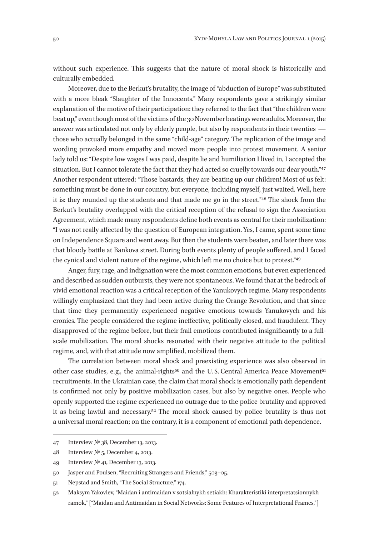without such experience. This suggests that the nature of moral shock is historically and culturally embedded.

Moreover, due to the Berkut's brutality, the image of "abduction of Europe" was substituted with a more bleak "Slaughter of the Innocents." Many respondents gave a strikingly similar explanation of the motive of their participation: they referred to the fact that "the children were beat up," even though most of the victims of the 30 November beatings were adults. Moreover, the answer was articulated not only by elderly people, but also by respondents in their twenties  $$ those who actually belonged in the same "child-age" category. The replication of the image and wording provoked more empathy and moved more people into protest movement. A senior lady told us: "Despite low wages I was paid, despite lie and humiliation I lived in, I accepted the situation. But I cannot tolerate the fact that they had acted so cruelly towards our dear youth."47 Another respondent uttered: "Those bastards, they are beating up our children! Most of us felt: something must be done in our country, but everyone, including myself, just waited. Well, here it is: they rounded up the students and that made me go in the street."48 The shock from the Berkut's brutality overlapped with the critical reception of the refusal to sign the Association Agreement, which made many respondents define both events as central for their mobilization: "I was not really affected by the question of European integration. Yes, I came, spent some time on Independence Square and went away. But then the students were beaten, and later there was that bloody battle at Bankova street. During both events plenty of people suffered, and I faced the cynical and violent nature of the regime, which left me no choice but to protest."49

Anger, fury, rage, and indignation were the most common emotions, but even experienced and described as sudden outbursts, they were not spontaneous. We found that at the bedrock of vivid emotional reaction was a critical reception of the Yanukovych regime. Many respondents willingly emphasized that they had been active during the Orange Revolution, and that since that time they permanently experienced negative emotions towards Yanukovych and his cronies. The people considered the regime ineffective, politically closed, and fraudulent. They disapproved of the regime before, but their frail emotions contributed insignificantly to a fullscale mobilization. The moral shocks resonated with their negative attitude to the political regime, and, with that attitude now amplified, mobilized them.

The correlation between moral shock and preexisting experience was also observed in other case studies, e.g., the animal-rights<sup>50</sup> and the U.S. Central America Peace Movement<sup>51</sup> recruitments. In the Ukrainian case, the claim that moral shock is emotionally path dependent is confirmed not only by positive mobilization cases, but also by negative ones. People who openly supported the regime experienced no outrage due to the police brutality and approved it as being lawful and necessary.52 The moral shock caused by police brutality is thus not a universal moral reaction; on the contrary, it is a component of emotional path dependence.

<sup>47</sup> Interview № 38, December 13, 2013.

<sup>48</sup> Interview № 5, December 4, 2013.

<sup>49</sup> Interview № 41, December 13, 2013.

<sup>50</sup> Jasper and Poulsen, "Recruiting Strangers and Friends," 503–05.

<sup>51</sup> Nepstad and Smith, "The Social Structure," 174.

<sup>52</sup> Maksym Yakovlev, "Maidan i antimaidan v sotsialnykh setiakh: Kharakteristiki interpretatsionnykh ramok," ["Maidan and Antimaidan in Social Networks: Some Features of Interpretational Frames,"]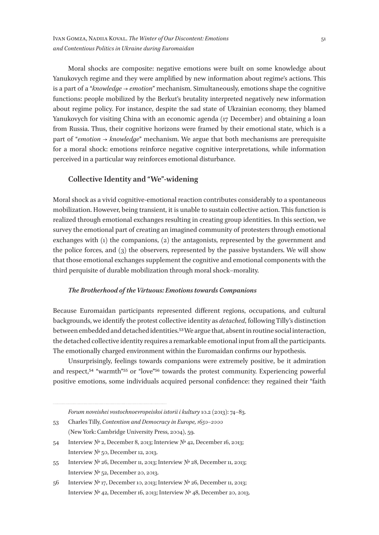Moral shocks are composite: negative emotions were built on some knowledge about Yanukovych regime and they were amplified by new information about regime's actions. This is a part of a "*knowledge → emotion*" mechanism. Simultaneously, emotions shape the cognitive functions: people mobilized by the Berkut's brutality interpreted negatively new information about regime policy. For instance, despite the sad state of Ukrainian economy, they blamed Yanukovych for visiting China with an economic agenda (17 December) and obtaining a loan from Russia. Thus, their cognitive horizons were framed by their emotional state, which is a part of "*emotion → knowledge*" mechanism. We argue that both mechanisms are prerequisite for a moral shock: emotions reinforce negative cognitive interpretations, while information perceived in a particular way reinforces emotional disturbance.

## **Collective Identity and "We"-widening**

Moral shock as a vivid cognitive-emotional reaction contributes considerably to a spontaneous mobilization. However, being transient, it is unable to sustain collective action. This function is realized through emotional exchanges resulting in creating group identities. In this section, we survey the emotional part of creating an imagined community of protesters through emotional exchanges with (1) the companions, (2) the antagonists, represented by the government and the police forces, and (3) the observers, represented by the passive bystanders. We will show that those emotional exchanges supplement the cognitive and emotional components with the third perquisite of durable mobilization through moral shock–morality.

#### *The Brotherhood of the Virtuous: Emotions towards Companions*

Because Euromaidan participants represented different regions, occupations, and cultural backgrounds, we identify the protest collective identity as *detached*, following Tilly's distinction between embedded and detached identities.53 We argue that, absent in routine social interaction, the detached collective identity requires a remarkable emotional input from all the participants. The emotionally charged environment within the Euromaidan confirms our hypothesis.

Unsurprisingly, feelings towards companions were extremely positive, be it admiration and respect,54 "warmth"55 or "love"56 towards the protest community. Experiencing powerful positive emotions, some individuals acquired personal confidence: they regained their "faith

- 53 Charles Tilly, *Contention and Democracy in Europe, 1650–2000* (New York: Cambridge University Press, 2004), 59.
- 54 Interview № 2, December 8, 2013; Interview № 42, December 16, 2013; Interview № 50, December 12, 2013.
- 55 Interview № 26, December 11, 2013; Interview № 28, December 11, 2013; Interview № 52, December 20, 2013.

*Forum noveishei vostochnoevropeiskoi istorii i kultury* 10.2 (2013): 74–83.

<sup>56</sup> Interview № 17, December 10, 2013; Interview № 26, December 11, 2013; Interview № 42, December 16, 2013; Interview № 48, December 20, 2013.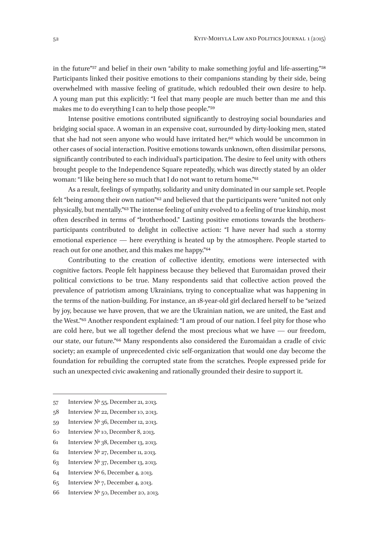in the future"57 and belief in their own "ability to make something joyful and life-asserting."58 Participants linked their positive emotions to their companions standing by their side, being overwhelmed with massive feeling of gratitude, which redoubled their own desire to help. A young man put this explicitly: "I feel that many people are much better than me and this makes me to do everything I can to help those people."59

Intense positive emotions contributed significantly to destroying social boundaries and bridging social space. A woman in an expensive coat, surrounded by dirty-looking men, stated that she had not seen anyone who would have irritated her,<sup>60</sup> which would be uncommon in other cases of social interaction. Positive emotions towards unknown, often dissimilar persons, significantly contributed to each individual's participation. The desire to feel unity with others brought people to the Independence Square repeatedly, which was directly stated by an older woman: "I like being here so much that I do not want to return home."61

As a result, feelings of sympathy, solidarity and unity dominated in our sample set. People felt "being among their own nation"62 and believed that the participants were "united not only physically, but mentally."63 The intense feeling of unity evolved to a feeling of true kinship, most often described in terms of "brotherhood." Lasting positive emotions towards the brothersparticipants contributed to delight in collective action: "I have never had such a stormy emotional experience — here everything is heated up by the atmosphere. People started to reach out for one another, and this makes me happy."64

Contributing to the creation of collective identity, emotions were intersected with cognitive factors. People felt happiness because they believed that Euromaidan proved their political convictions to be true. Many respondents said that collective action proved the prevalence of patriotism among Ukrainians, trying to conceptualize what was happening in the terms of the nation-building. For instance, an 18-year-old girl declared herself to be "seized by joy, because we have proven, that we are the Ukrainian nation, we are united, the East and the West."65 Another respondent explained: "I am proud of our nation. I feel pity for those who are cold here, but we all together defend the most precious what we have  $-$  our freedom, our state, our future."66 Many respondents also considered the Euromaidan a cradle of civic society; an example of unprecedented civic self-organization that would one day become the foundation for rebuilding the corrupted state from the scratches. People expressed pride for such an unexpected civic awakening and rationally grounded their desire to support it.

- 57 Interview № 55, December 21, 2013.
- 58 Interview № 22, December 10, 2013.
- 59 Interview № 36, December 12, 2013.
- 60 Interview № 10, December 8, 2013.
- 61 Interview № 38, December 13, 2013.
- 62 Interview № 27, December 11, 2013.
- 63 Interview № 37, December 13, 2013.
- 64 Interview № 6, December 4, 2013.
- 65 Interview № 7, December 4, 2013.
- 66 Interview № 50, December 20, 2013.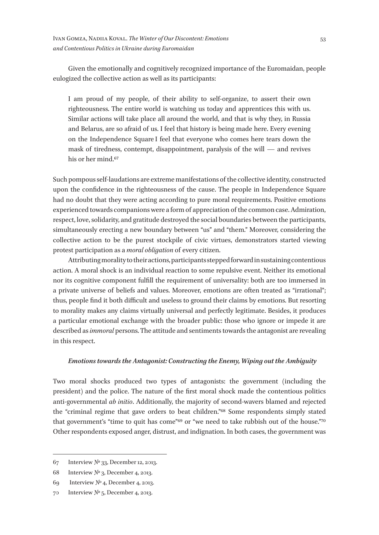Given the emotionally and cognitively recognized importance of the Euromaidan, people eulogized the collective action as well as its participants:

I am proud of my people, of their ability to self-organize, to assert their own righteousness. The entire world is watching us today and apprentices this with us. Similar actions will take place all around the world, and that is why they, in Russia and Belarus, are so afraid of us. I feel that history is being made here. Every evening on the Independence Square I feel that everyone who comes here tears down the mask of tiredness, contempt, disappointment, paralysis of the will — and revives his or her mind.67

Such pompous self-laudations are extreme manifestations of the collective identity, constructed upon the confidence in the righteousness of the cause. The people in Independence Square had no doubt that they were acting according to pure moral requirements. Positive emotions experienced towards companions were a form of appreciation of the common case. Admiration, respect, love, solidarity, and gratitude destroyed the social boundaries between the participants, simultaneously erecting a new boundary between "us" and "them." Moreover, considering the collective action to be the purest stockpile of civic virtues, demonstrators started viewing protest participation as a *moral obligation* of every citizen.

Attributing morality to their actions, participants stepped forward in sustaining contentious action. A moral shock is an individual reaction to some repulsive event. Neither its emotional nor its cognitive component fulfill the requirement of universality: both are too immersed in a private universe of beliefs and values. Moreover, emotions are often treated as "irrational"; thus, people find it both difficult and useless to ground their claims by emotions. But resorting to morality makes any claims virtually universal and perfectly legitimate. Besides, it produces a particular emotional exchange with the broader public: those who ignore or impede it are described as *immoral* persons. The attitude and sentiments towards the antagonist are revealing in this respect.

#### *Emotions towards the Antagonist: Constructing the Enemy, Wiping out the Ambiguity*

Two moral shocks produced two types of antagonists: the government (including the president) and the police. The nature of the first moral shock made the contentious politics anti-governmental *ab initio*. Additionally, the majority of second-wavers blamed and rejected the "criminal regime that gave orders to beat children."68 Some respondents simply stated that government's "time to quit has come"69 or "we need to take rubbish out of the house."70 Other respondents exposed anger, distrust, and indignation. In both cases, the government was

<sup>67</sup> Interview № 33, December 12, 2013.

<sup>68</sup> Interview № 3, December 4, 2013.

<sup>69</sup> Interview № 4, December 4, 2013.

<sup>70</sup> Interview № 5, December 4, 2013.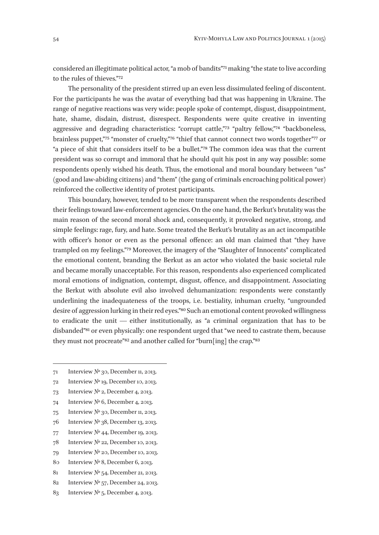considered an illegitimate political actor, "a mob of bandits"71 making "the state to live according to the rules of thieves."72

The personality of the president stirred up an even less dissimulated feeling of discontent. For the participants he was the avatar of everything bad that was happening in Ukraine. The range of negative reactions was very wide: people spoke of contempt, disgust, disappointment, hate, shame, disdain, distrust, disrespect. Respondents were quite creative in inventing aggressive and degrading characteristics: "corrupt cattle,"73 "paltry fellow,"74 "backboneless, brainless puppet,"75 "monster of cruelty,"76 "thief that cannot connect two words together"77 or "a piece of shit that considers itself to be a bullet."78 The common idea was that the current president was so corrupt and immoral that he should quit his post in any way possible: some respondents openly wished his death. Thus, the emotional and moral boundary between "us" (good and law-abiding citizens) and "them" (the gang of criminals encroaching political power) reinforced the collective identity of protest participants.

This boundary, however, tended to be more transparent when the respondents described their feelings toward law-enforcement agencies. On the one hand, the Berkut's brutality was the main reason of the second moral shock and, consequently, it provoked negative, strong, and simple feelings: rage, fury, and hate. Some treated the Berkut's brutality as an act incompatible with officer's honor or even as the personal offence: an old man claimed that "they have trampled on my feelings."79 Moreover, the imagery of the "Slaughter of Innocents" complicated the emotional content, branding the Berkut as an actor who violated the basic societal rule and became morally unacceptable. For this reason, respondents also experienced complicated moral emotions of indignation, contempt, disgust, offence, and disappointment. Associating the Berkut with absolute evil also involved dehumanization: respondents were constantly underlining the inadequateness of the troops, i. e. bestiality, inhuman cruelty, "ungrounded desire of aggression lurking in their red eyes."80 Such an emotional content provoked willingness to eradicate the unit — either institutionally, as "a criminal organization that has to be disbanded"<sup>81</sup> or even physically: one respondent urged that "we need to castrate them, because they must not procreate"<sup>82</sup> and another called for "burn[ing] the crap."<sup>83</sup>

- 71 Interview № 30, December 11, 2013.
- 72 Interview № 19, December 10, 2013.
- 73 Interview № 2, December 4, 2013.
- 74 Interview № 6, December 4, 2013.
- 75 Interview № 30, December 11, 2013.
- 76 Interview № 38, December 13, 2013.
- 77 Interview № 44, December 19, 2013.
- 78 Interview № 22, December 10, 2013.
- 79 Interview № 20, December 10, 2013.
- 80 Interview № 8, December 6, 2013.
- 81 Interview № 54, December 21, 2013.
- 82 Interview № 57, December 24, 2013.
- 83 Interview № 5, December 4, 2013.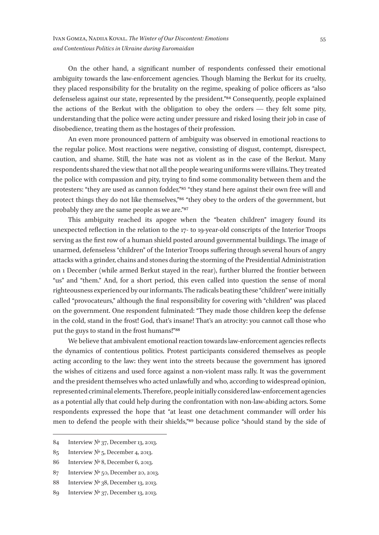On the other hand, a significant number of respondents confessed their emotional ambiguity towards the law-enforcement agencies. Though blaming the Berkut for its cruelty, they placed responsibility for the brutality on the regime, speaking of police officers as "also defenseless against our state, represented by the president."84 Consequently, people explained the actions of the Berkut with the obligation to obey the orders — they felt some pity, understanding that the police were acting under pressure and risked losing their job in case of disobedience, treating them as the hostages of their profession.

An even more pronounced pattern of ambiguity was observed in emotional reactions to the regular police. Most reactions were negative, consisting of disgust, contempt, disrespect, caution, and shame. Still, the hate was not as violent as in the case of the Berkut. Many respondents shared the view that not all the people wearing uniforms were villains. They treated the police with compassion and pity, trying to find some commonality between them and the protesters: "they are used as cannon fodder,"85 "they stand here against their own free will and protect things they do not like themselves,"86 "they obey to the orders of the government, but probably they are the same people as we are."87

This ambiguity reached its apogee when the "beaten children" imagery found its unexpected reflection in the relation to the 17- to 19-year-old conscripts of the Interior Troops serving as the first row of a human shield posted around governmental buildings. The image of unarmed, defenseless "children" of the Interior Troops suffering through several hours of angry attacks with a grinder, chains and stones during the storming of the Presidential Administration on 1 December (while armed Berkut stayed in the rear), further blurred the frontier between "us" and "them." And, for a short period, this even called into question the sense of moral righteousness experienced by our informants. The radicals beating these "children" were initially called "provocateurs," although the final responsibility for covering with "children" was placed on the government. One respondent fulminated: "They made those children keep the defense in the cold, stand in the frost! God, that's insane! That's an atrocity: you cannot call those who put the guys to stand in the frost humans!"88

We believe that ambivalent emotional reaction towards law-enforcement agencies reflects the dynamics of contentious politics. Protest participants considered themselves as people acting according to the law: they went into the streets because the government has ignored the wishes of citizens and used force against a non-violent mass rally. It was the government and the president themselves who acted unlawfully and who, according to widespread opinion, represented criminal elements. Therefore, people initially considered law-enforcement agencies as a potential ally that could help during the confrontation with non-law-abiding actors. Some respondents expressed the hope that "at least one detachment commander will order his men to defend the people with their shields,"89 because police "should stand by the side of

- 85 Interview № 5, December 4, 2013.
- 86 Interview № 8, December 6, 2013.
- 87 Interview № 50, December 20, 2013.
- 88 Interview № 38, December 13, 2013.
- 89 Interview № 37, December 13, 2013.

<sup>84</sup> Interview № 37, December 13, 2013.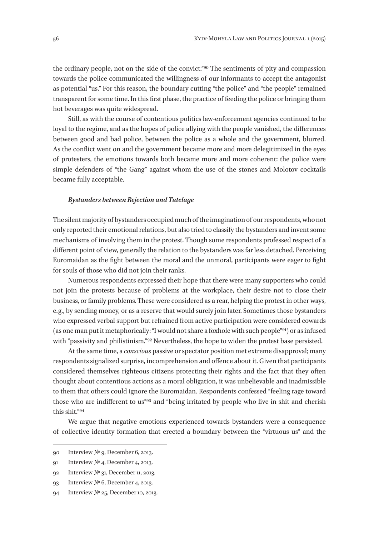the ordinary people, not on the side of the convict."90 The sentiments of pity and compassion towards the police communicated the willingness of our informants to accept the antagonist as potential "us." For this reason, the boundary cutting "the police" and "the people" remained transparent for some time. In this first phase, the practice of feeding the police or bringing them hot beverages was quite widespread.

Still, as with the course of contentious politics law-enforcement agencies continued to be loyal to the regime, and as the hopes of police allying with the people vanished, the differences between good and bad police, between the police as a whole and the government, blurred. As the conflict went on and the government became more and more delegitimized in the eyes of protesters, the emotions towards both became more and more coherent: the police were simple defenders of "the Gang" against whom the use of the stones and Molotov cocktails became fully acceptable.

#### *Bystanders between Rejection and Tutelage*

The silent majority of bystanders occupied much of the imagination of our respondents, who not only reported their emotional relations, but also tried to classify the bystanders and invent some mechanisms of involving them in the protest. Though some respondents professed respect of a different point of view, generally the relation to the bystanders was far less detached. Perceiving Euromaidan as the fight between the moral and the unmoral, participants were eager to fight for souls of those who did not join their ranks.

Numerous respondents expressed their hope that there were many supporters who could not join the protests because of problems at the workplace, their desire not to close their business, or family problems. These were considered as a rear, helping the protest in other ways, e. g., by sending money, or as a reserve that would surely join later. Sometimes those bystanders who expressed verbal support but refrained from active participation were considered cowards (as one man put it metaphorically: "I would not share a foxhole with such people"91) or as infused with "passivity and philistinism."92 Nevertheless, the hope to widen the protest base persisted.

At the same time, a *conscious* passive or spectator position met extreme disapproval; many respondents signalized surprise, incomprehension and offence about it. Given that participants considered themselves righteous citizens protecting their rights and the fact that they often thought about contentious actions as a moral obligation, it was unbelievable and inadmissible to them that others could ignore the Euromaidan. Respondents confessed "feeling rage toward those who are indifferent to us"93 and "being irritated by people who live in shit and cherish this shit."94

We argue that negative emotions experienced towards bystanders were a consequence of collective identity formation that erected a boundary between the "virtuous us" and the

<sup>90</sup> Interview № 9, December 6, 2013.

<sup>91</sup> Interview № 4, December 4, 2013.

<sup>92</sup> Interview № 31, December 11, 2013.

<sup>93</sup> Interview № 6, December 4, 2013.

<sup>94</sup> Interview № 25, December 10, 2013.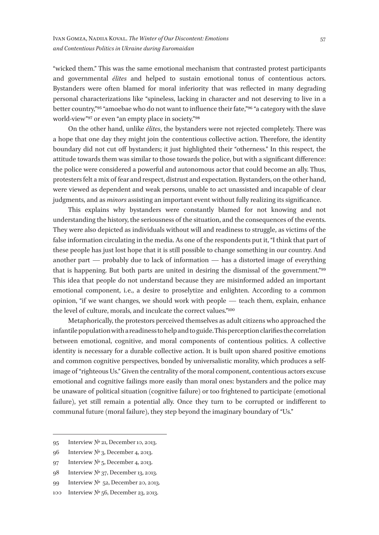"wicked them." This was the same emotional mechanism that contrasted protest participants and governmental *élites* and helped to sustain emotional tonus of contentious actors. Bystanders were often blamed for moral inferiority that was reflected in many degrading personal characterizations like "spineless, lacking in character and not deserving to live in a better country,"95 "amoebae who do not want to influence their fate,"96 "a category with the slave world-view"97 or even "an empty place in society."98

On the other hand, unlike *élites*, the bystanders were not rejected completely. There was a hope that one day they might join the contentious collective action. Therefore, the identity boundary did not cut off bystanders; it just highlighted their "otherness." In this respect, the attitude towards them was similar to those towards the police, but with a significant difference: the police were considered a powerful and autonomous actor that could become an ally. Thus, protesters felt a mix of fear and respect, distrust and expectation. Bystanders, on the other hand, were viewed as dependent and weak persons, unable to act unassisted and incapable of clear judgments, and as *minors* assisting an important event without fully realizing its significance.

This explains why bystanders were constantly blamed for not knowing and not understanding the history, the seriousness of the situation, and the consequences of the events. They were also depicted as individuals without will and readiness to struggle, as victims of the false information circulating in the media. As one of the respondents put it, "I think that part of these people has just lost hope that it is still possible to change something in our country. And another part — probably due to lack of information — has a distorted image of everything that is happening. But both parts are united in desiring the dismissal of the government."99 This idea that people do not understand because they are misinformed added an important emotional component, i.e., a desire to proselytize and enlighten. According to a common opinion, "if we want changes, we should work with people  $-$  teach them, explain, enhance the level of culture, morals, and inculcate the correct values."100

Metaphorically, the protestors perceived themselves as adult citizens who approached the infantile population with a readiness to help and to guide. This perception clarifies the correlation between emotional, cognitive, and moral components of contentious politics. A collective identity is necessary for a durable collective action. It is built upon shared positive emotions and common cognitive perspectives, bonded by universalistic morality, which produces a selfimage of "righteous Us." Given the centrality of the moral component, contentious actors excuse emotional and cognitive failings more easily than moral ones: bystanders and the police may be unaware of political situation (cognitive failure) or too frightened to participate (emotional failure), yet still remain a potential ally. Once they turn to be corrupted or indifferent to communal future (moral failure), they step beyond the imaginary boundary of "Us."

<sup>95</sup> Interview № 21, December 10, 2013.

<sup>96</sup> Interview № 3, December 4, 2013.

<sup>97</sup> Interview № 5, December 4, 2013.

<sup>98</sup> Interview № 37, December 13, 2013.

<sup>99</sup> Interview №  52, December 20, 2013.

<sup>100</sup> Interview № 56, December 23, 2013.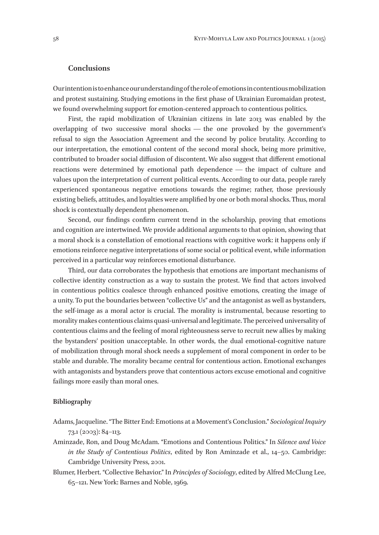#### **Conclusions**

Our intention is to enhance our understanding of the role of emotions in contentious mobilization and protest sustaining. Studying emotions in the first phase of Ukrainian Euromaidan protest, we found overwhelming support for emotion-centered approach to contentious politics.

First, the rapid mobilization of Ukrainian citizens in late 2013 was enabled by the overlapping of two successive moral shocks — the one provoked by the government's refusal to sign the Association Agreement and the second by police brutality. According to our interpretation, the emotional content of the second moral shock, being more primitive, contributed to broader social diffusion of discontent. We also suggest that different emotional reactions were determined by emotional path dependence  $-$  the impact of culture and values upon the interpretation of current political events. According to our data, people rarely experienced spontaneous negative emotions towards the regime; rather, those previously existing beliefs, attitudes, and loyalties were amplified by one or both moral shocks. Thus, moral shock is contextually dependent phenomenon.

Second, our findings confirm current trend in the scholarship, proving that emotions and cognition are intertwined. We provide additional arguments to that opinion, showing that a moral shock is a constellation of emotional reactions with cognitive work: it happens only if emotions reinforce negative interpretations of some social or political event, while information perceived in a particular way reinforces emotional disturbance.

Third, our data corroborates the hypothesis that emotions are important mechanisms of collective identity construction as a way to sustain the protest. We find that actors involved in contentious politics coalesce through enhanced positive emotions, creating the image of a unity. To put the boundaries between "collective Us" and the antagonist as well as bystanders, the self-image as a moral actor is crucial. The morality is instrumental, because resorting to morality makes contentious claims quasi-universal and legitimate. The perceived universality of contentious claims and the feeling of moral righteousness serve to recruit new allies by making the bystanders' position unacceptable. In other words, the dual emotional-cognitive nature of mobilization through moral shock needs a supplement of moral component in order to be stable and durable. The morality became central for contentious action. Emotional exchanges with antagonists and bystanders prove that contentious actors excuse emotional and cognitive failings more easily than moral ones.

#### **Bibliography**

- Adams, Jacqueline. "The Bitter End: Emotions at a Movement's Conclusion." *Sociological Inquiry* 73.1 (2003): 84–113.
- Aminzade, Ron, and Doug McAdam. "Emotions and Contentious Politics." In *Silence and Voice in the Study of Contentious Politics*, edited by Ron Aminzade et al., 14–50. Cambridge: Cambridge University Press, 2001.
- Blumer, Herbert. "Collective Behavior." In *Principles of Sociology*, edited by Alfred McClung Lee, 65–121. New York: Barnes and Noble, 1969.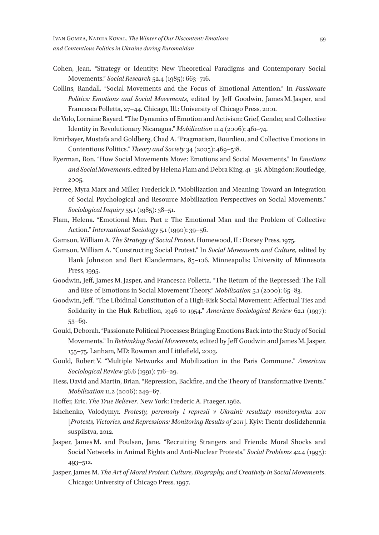- Cohen, Jean. "Strategy or Identity: New Theoretical Paradigms and Contemporary Social Movements." *Social Research* 52.4 (1985): 663–716.
- Collins, Randall. "Social Movements and the Focus of Emotional Attention." In *Passionate Politics: Emotions and Social Movements*, edited by Jeff Goodwin, James M. Jasper, and Francesca Polletta, 27–44. Chicago, Ill.: University of Chicago Press, 2001.
- de Volo, Lorraine Bayard. "The Dynamics of Emotion and Activism: Grief, Gender, and Collective Identity in Revolutionary Nicaragua." *Mobilization* 11.4 (2006): 461–74.
- Emirbayer, Mustafa and Goldberg, Chad A. "Pragmatism, Bourdieu, and Collective Emotions in Contentious Politics." *Theory and Society* 34 (2005): 469–518.
- Eyerman, Ron. "How Social Movements Move: Emotions and Social Movements." In *Emotions and Social Movements*, edited by Helena Flam and Debra King, 41–56. Abingdon: Routledge, 2005.
- Ferree, Myra Marx and Miller, Frederick D. "Mobilization and Meaning: Toward an Integration of Social Psychological and Resource Mobilization Perspectives on Social Movements." *Sociological Inquiry* 55.1 (1985): 38–51.
- Flam, Helena. "Emotional Man. Part 1: The Emotional Man and the Problem of Collective Action." *International Sociology* 5.1 (1990): 39–56.
- Gamson, William A. *The Strategy of Social Protest*. Homewood, IL: Dorsey Press, 1975.
- Gamson, William A. "Constructing Social Protest." In *Social Movements and Culture*, edited by Hank Johnston and Bert Klandermans, 85–106. Minneapolis: University of Minnesota Press, 1995.
- Goodwin, Jeff, James M. Jasper, and Francesca Polletta. "The Return of the Repressed: The Fall and Rise of Emotions in Social Movement Theory." *Mobilization* 5.1 (2000): 65–83.
- Goodwin, Jeff. "The Libidinal Constitution of a High-Risk Social Movement: Affectual Ties and Solidarity in the Huk Rebellion, 1946 to 1954." *American Sociological Review* 62.1 (1997): 53–69.
- Gould, Deborah. "Passionate Political Processes: Bringing Emotions Back into the Study of Social Movements." In *Rethinking Social Movements*, edited by Jeff Goodwin and James M. Jasper, 155–75. Lanham, MD: Rowman and Littlefield, 2003.
- Gould, Robert V. "Multiple Networks and Mobilization in the Paris Commune." *American Sociological Review* 56.6 (1991): 716–29.
- Hess, David and Martin, Brian. "Repression, Backfire, and the Theory of Transformative Events." *Mobilization* 11.2 (2006): 249–67.
- Hoffer, Eric. *The True Believer*. New York: Frederic A. Praeger, 1962.
- Ishchenko, Volodymyr. *Protesty, peremohy i represii v Ukraini: resultaty monitorynhu 2011*  [*Protests, Victories, and Repressions: Monitoring Results of 2011*]. Kyiv: Tsentr doslidzhennia suspilstva, 2012.
- Jasper, James M. and Poulsen, Jane. "Recruiting Strangers and Friends: Moral Shocks and Social Networks in Animal Rights and Anti-Nuclear Protests." *Social Problems* 42.4 (1995): 493–512.
- Jasper, James M. *The Art of Moral Protest: Culture, Biography, and Creativity in Social Movements*. Chicago: University of Chicago Press, 1997.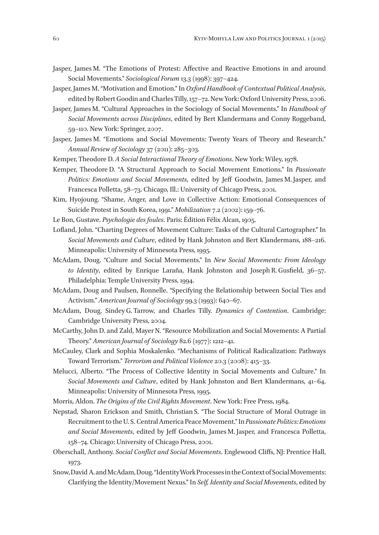- Jasper, James M. "The Emotions of Protest: Affective and Reactive Emotions in and around Social Movements." *Sociological Forum* 13.3 (1998): 397–424.
- Jasper, James M. "Motivation and Emotion." In *Oxford Handbook of Contextual Political Analysis*, edited by Robert Goodin and Charles Tilly, 157–72. New York: Oxford University Press, 2006.
- Jasper, James M. "Cultural Approaches in the Sociology of Social Movements." In *Handbook of Social Movements across Disciplines*, edited by Bert Klandermans and Conny Roggeband, 59–110. New York: Springer, 2007.
- Jasper, James M. "Emotions and Social Movements: Twenty Years of Theory and Research." *Annual Review of Sociology* 37 (2011): 285–303.
- Kemper, Theodore D. *A Social Interactional Theory of Emotions*. New York: Wiley, 1978.
- Kemper, Theodore D. "A Structural Approach to Social Movement Emotions." In *Passionate Politics: Emotions and Social Movements*, edited by Jeff Goodwin, James M. Jasper, and Francesca Polletta, 58–73. Chicago, Ill.: University of Chicago Press, 2001.
- Kim, Hyojoung. "Shame, Anger, and Love in Collective Action: Emotional Consequences of Suicide Protest in South Korea, 1991." *Mobilization* 7.2 (2002): 159–76.
- Le Bon, Gustave. *Psychologie des foules*. Paris: Édition Félix Alcan, 1905.
- Lofland, John. "Charting Degrees of Movement Culture: Tasks of the Cultural Cartographer." In *Social Movements and Culture*, edited by Hank Johnston and Bert Klandermans, 188–216. Minneapolis: University of Minnesota Press, 1995.
- McAdam, Doug. "Culture and Social Movements." In *New Social Movements: From Ideology to Identity*, edited by Enrique Laraña, Hank Johnston and Joseph R. Gusfield, 36–57. Philadelphia: Temple University Press, 1994.
- McAdam, Doug and Paulsen, Ronnelle. "Specifying the Relationship between Social Ties and Activism." *American Journal of Sociology* 99.3 (1993): 640–67.
- McAdam, Doug, Sindey G. Tarrow, and Charles Tilly. *Dynamics of Contention*. Cambridge: Cambridge University Press, 2004.
- McCarthy, John D. and Zald, Mayer N. "Resource Mobilization and Social Movements: A Partial Theory." *American Journal of Sociology* 82.6 (1977): 1212–41.
- McCauley, Clark and Sophia Moskalenko. "Mechanisms of Political Radicalization: Pathways Toward Terrorism." *Terrorism and Political Violence* 20.3 (2008): 415–33.
- Melucci, Alberto. "The Process of Collective Identity in Social Movements and Culture." In *Social Movements and Culture*, edited by Hank Johnston and Bert Klandermans, 41–64. Minneapolis: University of Minnesota Press, 1995.
- Morris, Aldon. *The Origins of the Civil Rights Movement*. New York: Free Press, 1984.
- Nepstad, Sharon Erickson and Smith, Christian S. "The Social Structure of Moral Outrage in Recruitment to the U. S. Central America Peace Movement." In *Passionate Politics: Emotions and Social Movements*, edited by Jeff Goodwin, James M. Jasper, and Francesca Polletta, 158–74. Chicago: University of Chicago Press, 2001.
- Oberschall, Anthony. *Social Conflict and Social Movements*. Englewood Cliffs, NJ: Prentice Hall, 1973.
- Snow, David A. and McAdam, Doug. "Identity Work Processes in the Context of Social Movements: Clarifying the Identity/Movement Nexus." In *Self, Identity and Social Movements*, edited by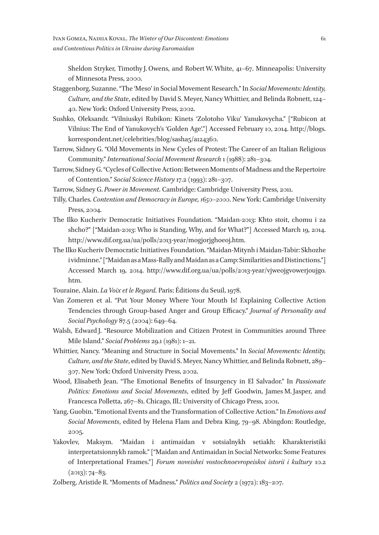Sheldon Stryker, Timothy J. Owens, and Robert W. White, 41–67. Minneapolis: University of Minnesota Press, 2000.

- Staggenborg, Suzanne. "The 'Meso' in Social Movement Research." In *Social Movements: Identity, Culture, and the State*, edited by David S. Meyer, Nancy Whittier, and Belinda Robnett, 124– 40. New York: Oxford University Press, 2002.
- Sushko, Oleksandr. "Vilniuskyi Rubikon: Kinets 'Zolotoho Viku' Yanukovycha." *[*"Rubicon at Vilnius: The End of Yanukovych's 'Golden Age'."] Accessed February 10, 2014. http://blogs. korrespondent.net/celebrities/blog/sasha5/a124360.
- Tarrow, Sidney G. "Old Movements in New Cycles of Protest: The Career of an Italian Religious Community." *International Social Movement Research* 1 (1988): 281–304.
- Tarrow, Sidney G. "Cycles of Collective Action: Between Moments of Madness and the Repertoire of Contention." *Social Science History* 17.2 (1993): 281–307.

Tarrow, Sidney G. *Power in Movement*. Cambridge: Cambridge University Press, 2011.

- Tilly, Charles. *Contention and Democracy in Europe, 1650–2000*. New York: Cambridge University Press, 2004.
- The Ilko Kucheriv Democratic Initiatives Foundation. "Maidan‑2013: Khto stoit, chomu i za shcho?" ["Maidan-2013: Who is Standing, Why, and for What?"] Accessed March 19, 2014. http://www.dif.org.ua/ua/polls/2013-year/mogjorjghoeoj.htm.
- The Ilko Kucheriv Democratic Initiatives Foundation. "Maidan-Mitynh i Maidan-Tabir: Skhozhe i vidminne." ["Maidan as a Mass-Rally and Maidan as a Camp: Similarities and Distinctions."] Accessed March 19, 2014. http://www.dif.org.ua/ua/polls/2013-year/vjweojgvowerjoujgo. htm.
- Touraine, Alain. *La Voix et le Regard*. Paris: Éditions du Seuil, 1978.
- Van Zomeren et al. "Put Your Money Where Your Mouth Is! Explaining Collective Action Tendencies through Group-based Anger and Group Efficacy." *Journal of Personality and Social Psychology* 87.5 (2004): 649–64.
- Walsh, Edward J. "Resource Mobilization and Citizen Protest in Communities around Three Mile Island." *Social Problems* 29.1 (1981): 1–21.
- Whittier, Nancy. "Meaning and Structure in Social Movements." In *Social Movements: Identity, Culture, and the State*, edited by David S. Meyer, Nancy Whittier, and Belinda Robnett, 289– 307. New York: Oxford University Press, 2002.
- Wood, Elisabeth Jean. "The Emotional Benefits of Insurgency in El Salvador." In *Passionate Politics: Emotions and Social Movements*, edited by Jeff Goodwin, James M. Jasper, and Francesca Polletta, 267–81. Chicago, Ill.: University of Chicago Press, 2001.
- Yang, Guobin. "Emotional Events and the Transformation of Collective Action." In *Emotions and Social Movements*, edited by Helena Flam and Debra King, 79–98. Abingdon: Routledge, 2005.
- Yakovlev, Maksym. "Maidan i antimaidan v sotsialnykh setiakh: Kharakteristiki interpretatsionnykh ramok." ["Maidan and Antimaidan in Social Networks: Some Features of Interpretational Frames."] *Forum noveishei vostochnoevropeiskoi istorii i kultury* 10.2  $(2013): 74-83.$

Zolberg, Aristide R. "Moments of Madness." *Politics and Society* 2 (1972): 183–207.